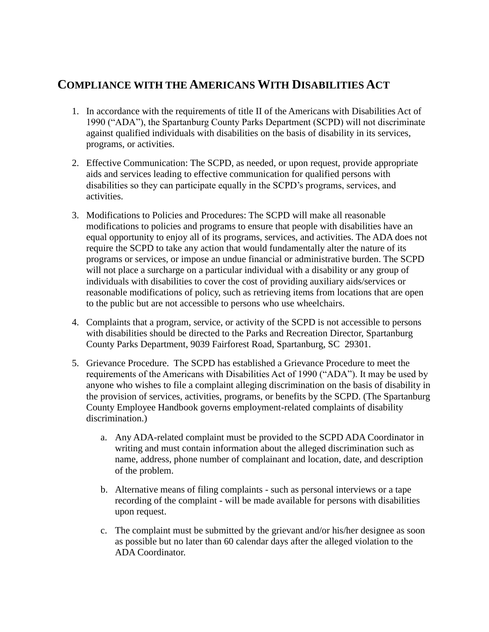## **COMPLIANCE WITH THE AMERICANS WITH DISABILITIES ACT**

- 1. In accordance with the requirements of title II of the Americans with Disabilities Act of 1990 ("ADA"), the Spartanburg County Parks Department (SCPD) will not discriminate against qualified individuals with disabilities on the basis of disability in its services, programs, or activities.
- 2. Effective Communication: The SCPD, as needed, or upon request, provide appropriate aids and services leading to effective communication for qualified persons with disabilities so they can participate equally in the SCPD's programs, services, and activities.
- 3. Modifications to Policies and Procedures: The SCPD will make all reasonable modifications to policies and programs to ensure that people with disabilities have an equal opportunity to enjoy all of its programs, services, and activities. The ADA does not require the SCPD to take any action that would fundamentally alter the nature of its programs or services, or impose an undue financial or administrative burden. The SCPD will not place a surcharge on a particular individual with a disability or any group of individuals with disabilities to cover the cost of providing auxiliary aids/services or reasonable modifications of policy, such as retrieving items from locations that are open to the public but are not accessible to persons who use wheelchairs.
- 4. Complaints that a program, service, or activity of the SCPD is not accessible to persons with disabilities should be directed to the Parks and Recreation Director, Spartanburg County Parks Department, 9039 Fairforest Road, Spartanburg, SC 29301.
- 5. Grievance Procedure. The SCPD has established a Grievance Procedure to meet the requirements of the Americans with Disabilities Act of 1990 ("ADA"). It may be used by anyone who wishes to file a complaint alleging discrimination on the basis of disability in the provision of services, activities, programs, or benefits by the SCPD. (The Spartanburg County Employee Handbook governs employment-related complaints of disability discrimination.)
	- a. Any ADA-related complaint must be provided to the SCPD ADA Coordinator in writing and must contain information about the alleged discrimination such as name, address, phone number of complainant and location, date, and description of the problem.
	- b. Alternative means of filing complaints such as personal interviews or a tape recording of the complaint - will be made available for persons with disabilities upon request.
	- c. The complaint must be submitted by the grievant and/or his/her designee as soon as possible but no later than 60 calendar days after the alleged violation to the ADA Coordinator.